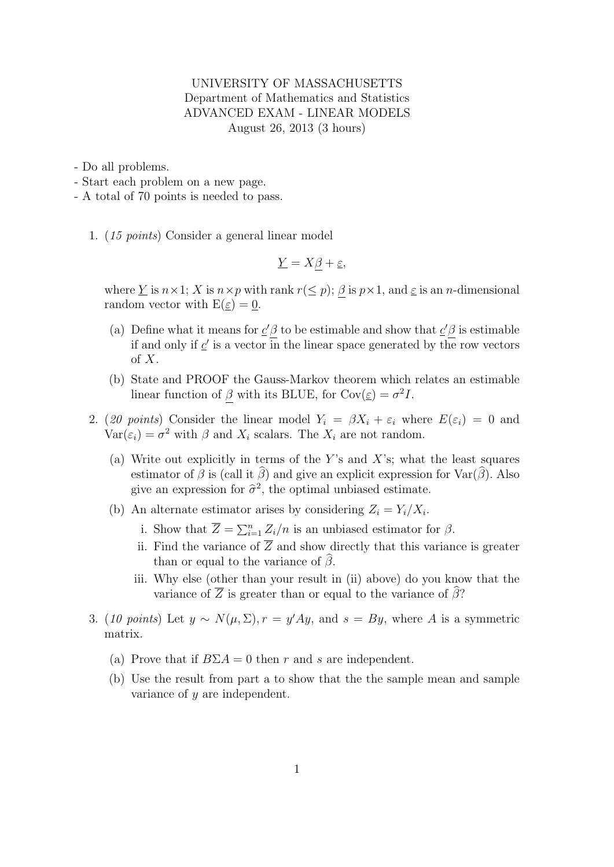## UNIVERSITY OF MASSACHUSETTS Department of Mathematics and Statistics ADVANCED EXAM - LINEAR MODELS August 26, 2013 (3 hours)

- Do all problems.
- Start each problem on a new page.
- A total of 70 points is needed to pass.
	- 1. (15 points) Consider a general linear model

$$
\underline{Y} = X\beta + \underline{\varepsilon},
$$

where Y is  $n \times 1$ ; X is  $n \times p$  with rank  $r(\leq p)$ ;  $\beta$  is  $p \times 1$ , and  $\underline{\varepsilon}$  is an *n*-dimensional random vector with  $E(\underline{\varepsilon}) = 0$ .

- (a) Define what it means for  $c' \beta$  to be estimable and show that  $c' \beta$  is estimable if and only if  $\underline{c}'$  is a vector in the linear space generated by the row vectors of  $X$ .
- (b) State and PROOF the Gauss-Markov theorem which relates an estimable linear function of  $\beta$  with its BLUE, for  $Cov(\underline{\varepsilon}) = \sigma^2 I$ .
- 2. (20 points) Consider the linear model  $Y_i = \beta X_i + \varepsilon_i$  where  $E(\varepsilon_i) = 0$  and  $Var(\varepsilon_i) = \sigma^2$  with  $\beta$  and  $X_i$  scalars. The  $X_i$  are not random.
	- (a) Write out explicitly in terms of the Y's and X's; what the least squares estimator of  $\hat{\beta}$  is (call it  $\hat{\beta}$ ) and give an explicit expression for Var( $\hat{\beta}$ ). Also give an expression for  $\hat{\sigma}^2$ , the optimal unbiased estimate.
	- (b) An alternate estimator arises by considering  $Z_i = Y_i/X_i$ .
		- i. Show that  $\overline{Z} = \sum_{i=1}^{n} Z_i/n$  is an unbiased estimator for  $\beta$ .
		- ii. Find the variance of  $\overline{Z}$  and show directly that this variance is greater than or equal to the variance of  $\widehat{\beta}$ .
		- iii. Why else (other than your result in (ii) above) do you know that the variance of  $\overline{Z}$  is greater than or equal to the variance of  $\widehat{\beta}$ ?
- 3. (10 points) Let  $y \sim N(\mu, \Sigma)$ ,  $r = y'Ay$ , and  $s = By$ , where A is a symmetric matrix.
	- (a) Prove that if  $B\Sigma A = 0$  then r and s are independent.
	- (b) Use the result from part a to show that the the sample mean and sample variance of y are independent.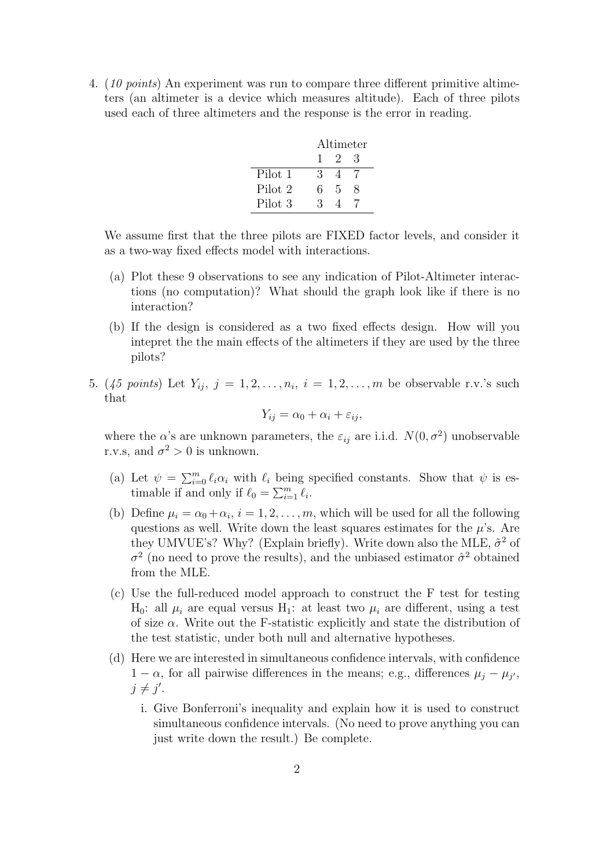4. (10 points) An experiment was run to compare three different primitive altimeters (an altimeter is a device which measures altitude). Each of three pilots used each of three altimeters and the response is the error in reading.

|         | Altimeter |     |   |
|---------|-----------|-----|---|
|         | 1.        | - 2 | 3 |
| Pilot 1 | З         |     |   |
| Pilot 2 | 6.        | 5   | x |
| Pilot 3 | 3         |     |   |

We assume first that the three pilots are FIXED factor levels, and consider it as a two-way fixed effects model with interactions.

- (a) Plot these 9 observations to see any indication of Pilot-Altimeter interactions (no computation)? What should the graph look like if there is no interaction?
- (b) If the design is considered as a two fixed effects design. How will you intepret the the main effects of the altimeters if they are used by the three pilots?
- 5.  $(45 \text{ points})$  Let  $Y_{ij}, j = 1, 2, \ldots, n_i, i = 1, 2, \ldots, m$  be observable r.v.'s such that

$$
Y_{ij} = \alpha_0 + \alpha_i + \varepsilon_{ij},
$$

where the  $\alpha$ 's are unknown parameters, the  $\varepsilon_{ij}$  are i.i.d.  $N(0, \sigma^2)$  unobservable r.v.s, and  $\sigma^2 > 0$  is unknown.

- (a) Let  $\psi = \sum_{i=0}^m \ell_i \alpha_i$  with  $\ell_i$  being specified constants. Show that  $\psi$  is estimable if and only if  $\ell_0 = \sum_{i=1}^m \ell_i$ .
- (b) Define  $\mu_i = \alpha_0 + \alpha_i$ ,  $i = 1, 2, ..., m$ , which will be used for all the following questions as well. Write down the least squares estimates for the  $\mu$ 's. Are they UMVUE's? Why? (Explain briefly). Write down also the MLE,  $\tilde{\sigma}^2$  of  $\sigma^2$  (no need to prove the results), and the unbiased estimator  $\hat{\sigma}^2$  obtained from the MLE.
- (c) Use the full-reduced model approach to construct the F test for testing  $H_0$ : all  $\mu_i$  are equal versus  $H_1$ : at least two  $\mu_i$  are different, using a test of size  $\alpha$ . Write out the F-statistic explicitly and state the distribution of the test statistic, under both null and alternative hypotheses.
- (d) Here we are interested in simultaneous confidence intervals, with confidence  $1 - \alpha$ , for all pairwise differences in the means; e.g., differences  $\mu_j - \mu_{j'}$ ,  $j \neq j'$ .
	- i. Give Bonferroni's inequality and explain how it is used to construct simultaneous confidence intervals. (No need to prove anything you can just write down the result.) Be complete.